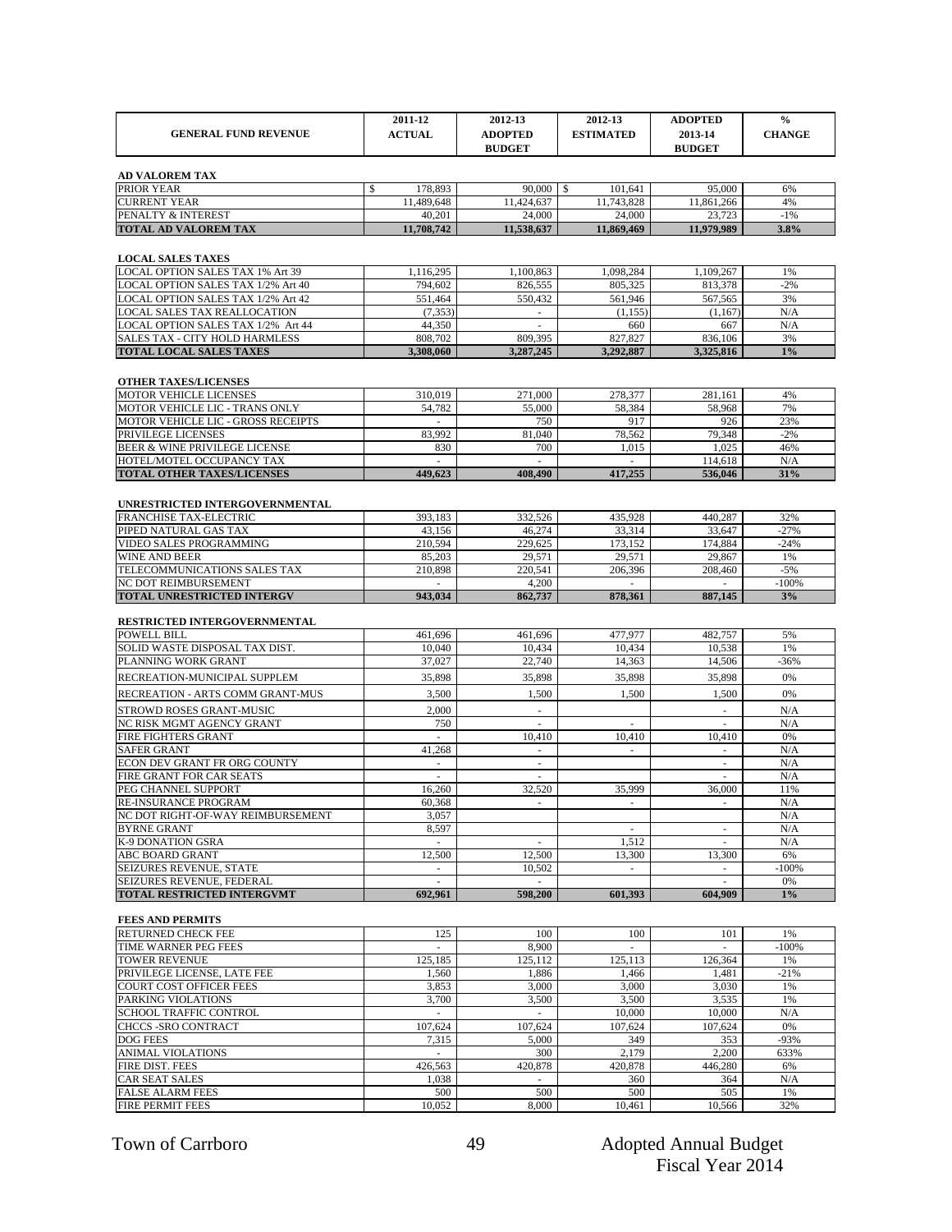|                                                                    | 2011-12                  | 2012-13                         | 2012-13              | <b>ADOPTED</b>           | $\frac{0}{0}$    |
|--------------------------------------------------------------------|--------------------------|---------------------------------|----------------------|--------------------------|------------------|
| <b>GENERAL FUND REVENUE</b>                                        | <b>ACTUAL</b>            | <b>ADOPTED</b>                  | <b>ESTIMATED</b>     | 2013-14                  | <b>CHANGE</b>    |
|                                                                    |                          | <b>BUDGET</b>                   |                      | <b>BUDGET</b>            |                  |
| <b>AD VALOREM TAX</b>                                              |                          |                                 |                      |                          |                  |
| PRIOR YEAR                                                         | \$<br>178,893            | 90,000                          | \$<br>101.641        | 95,000                   | 6%               |
| <b>CURRENT YEAR</b>                                                | 11,489,648               | 11,424,637                      | 11,743,828           | 11,861,266               | 4%               |
| PENALTY & INTEREST<br><b>TOTAL AD VALOREM TAX</b>                  | 40,201<br>11,708,742     | 24,000<br>11,538,637            | 24,000<br>11,869,469 | 23,723<br>11,979,989     | $-1%$<br>3.8%    |
|                                                                    |                          |                                 |                      |                          |                  |
| <b>LOCAL SALES TAXES</b>                                           |                          |                                 |                      |                          |                  |
| LOCAL OPTION SALES TAX 1% Art 39                                   | 1,116,295                | 1,100,863                       | 1,098,284            | 1,109,267                | 1%               |
| LOCAL OPTION SALES TAX 1/2% Art 40                                 | 794,602                  | 826,555                         | 805,325              | 813,378                  | $-2%$            |
| LOCAL OPTION SALES TAX 1/2% Art 42                                 | 551,464                  | 550,432                         | 561.946              | 567,565                  | 3%               |
| LOCAL SALES TAX REALLOCATION<br>LOCAL OPTION SALES TAX 1/2% Art 44 | (7, 353)<br>44.350       | $\omega$<br>$\omega$            | (1, 155)<br>660      | (1.167)<br>667           | N/A<br>N/A       |
| SALES TAX - CITY HOLD HARMLESS                                     | 808,702                  | 809,395                         | 827,827              | 836,106                  | 3%               |
| <b>TOTAL LOCAL SALES TAXES</b>                                     | 3,308,060                | 3,287,245                       | 3,292,887            | 3,325,816                | $1\%$            |
|                                                                    |                          |                                 |                      |                          |                  |
| <b>OTHER TAXES/LICENSES</b>                                        |                          |                                 |                      |                          |                  |
| <b>MOTOR VEHICLE LICENSES</b><br>MOTOR VEHICLE LIC - TRANS ONLY    | 310,019<br>54,782        | 271,000<br>55,000               | 278,377<br>58,384    | 281,161<br>58,968        | 4%<br>7%         |
| MOTOR VEHICLE LIC - GROSS RECEIPTS                                 | $\sim$                   | 750                             | 917                  | 926                      | 23%              |
| PRIVILEGE LICENSES                                                 | 83,992                   | 81.040                          | 78,562               | 79,348                   | $-2%$            |
| BEER & WINE PRIVILEGE LICENSE                                      | 830                      | 700                             | 1,015                | 1,025                    | 46%              |
| HOTEL/MOTEL OCCUPANCY TAX<br><b>TOTAL OTHER TAXES/LICENSES</b>     | ä,<br>449,623            |                                 | 417.255              | 114,618<br>536,046       | N/A<br>31%       |
|                                                                    |                          | 408,490                         |                      |                          |                  |
| UNRESTRICTED INTERGOVERNMENTAL                                     |                          |                                 |                      |                          |                  |
| FRANCHISE TAX-ELECTRIC                                             | 393,183                  | 332,526                         | 435,928              | 440,287                  | 32%              |
| PIPED NATURAL GAS TAX                                              | 43,156                   | 46,274                          | 33,314               | 33,647                   | $-27%$           |
| VIDEO SALES PROGRAMMING<br><b>WINE AND BEER</b>                    | 210,594<br>85,203        | 229,625<br>29,571               | 173.152<br>29,571    | 174,884<br>29,867        | $-24%$           |
| TELECOMMUNICATIONS SALES TAX                                       | 210,898                  | 220,541                         | 206,396              | 208,460                  | 1%<br>$-5%$      |
| NC DOT REIMBURSEMENT                                               |                          | 4,200                           |                      |                          | $-100%$          |
| <b>TOTAL UNRESTRICTED INTERGV</b>                                  | 943,034                  | 862,737                         | 878,361              | 887,145                  | 3%               |
| RESTRICTED INTERGOVERNMENTAL                                       |                          |                                 |                      |                          |                  |
| <b>POWELL BILL</b>                                                 | 461,696                  | 461.696                         | 477,977              | 482,757                  | 5%               |
| SOLID WASTE DISPOSAL TAX DIST.                                     | 10,040                   | 10,434                          | 10,434               | 10,538                   | 1%               |
| PLANNING WORK GRANT                                                | 37,027                   | 22,740                          | 14,363               | 14,506                   | $-36%$           |
| RECREATION-MUNICIPAL SUPPLEM                                       | 35,898                   | 35,898                          | 35,898               | 35,898                   | 0%               |
| RECREATION - ARTS COMM GRANT-MUS                                   | 3,500                    | 1,500                           | 1,500                | 1,500                    | 0%               |
| STROWD ROSES GRANT-MUSIC                                           | 2,000                    | ÷,                              |                      | ä,                       | N/A              |
| NC RISK MGMT AGENCY GRANT<br><b>FIRE FIGHTERS GRANT</b>            | 750                      | 10,410                          | 10,410               | 10,410                   | N/A<br>0%        |
| <b>SAFER GRANT</b>                                                 | 41,268                   | $\overline{\phantom{a}}$        | $\bar{ }$            | $\overline{\phantom{a}}$ | N/A              |
| ECON DEV GRANT FR ORG COUNTY                                       | $\overline{\phantom{m}}$ | $\overline{\phantom{0}}$        |                      | $\overline{\phantom{m}}$ | N/A              |
| FIRE GRANT FOR CAR SEATS                                           | ÷.                       | $\sim$                          |                      | ÷.                       | N/A              |
| PEG CHANNEL SUPPORT<br><b>RE-INSURANCE PROGRAM</b>                 | 16,260                   | 32,520                          | 35,999               | 36,000                   | 11%              |
| NC DOT RIGHT-OF-WAY REIMBURSEMENT                                  | 60,368<br>3,057          | ÷.                              | ÷,                   | ÷.                       | $\rm N/A$<br>N/A |
| <b>BYRNE GRANT</b>                                                 | 8,597                    |                                 | ×.                   | ÷.                       | N/A              |
| K-9 DONATION GSRA                                                  | $\omega$                 | ÷.                              | 1,512                | $\overline{\phantom{a}}$ | N/A              |
| ABC BOARD GRANT                                                    | 12,500                   | 12,500                          | 13,300               | 13,300                   | 6%               |
| SEIZURES REVENUE, STATE<br>SEIZURES REVENUE, FEDERAL               | $\overline{\phantom{m}}$ | 10,502                          | $\blacksquare$       |                          | $-100%$<br>0%    |
| <b>TOTAL RESTRICTED INTERGVMT</b>                                  | 692,961                  | 598,200                         | 601.393              | 604,909                  | $1\%$            |
|                                                                    |                          |                                 |                      |                          |                  |
| <b>FEES AND PERMITS</b><br>RETURNED CHECK FEE                      | 125                      | 100                             | 100                  | 101                      | 1%               |
| TIME WARNER PEG FEES                                               |                          | 8,900                           |                      |                          | $-100%$          |
| <b>TOWER REVENUE</b>                                               | 125,185                  | 125,112                         | 125,113              | 126,364                  | 1%               |
| PRIVILEGE LICENSE, LATE FEE                                        | 1,560                    | 1,886                           | 1,466                | 1,481                    | $-21%$           |
| COURT COST OFFICER FEES                                            | 3,853                    | 3,000                           | 3,000                | 3,030                    | 1%               |
| PARKING VIOLATIONS<br>SCHOOL TRAFFIC CONTROL                       | 3,700                    | 3,500                           | 3,500<br>10,000      | 3,535<br>10,000          | 1%<br>N/A        |
| CHCCS -SRO CONTRACT                                                | 107,624                  | 107,624                         | 107,624              | 107,624                  | 0%               |
| DOG FEES                                                           | 7,315                    | 5,000                           | 349                  | 353                      | $-93%$           |
| ANIMAL VIOLATIONS                                                  | $\sim$                   | 300                             | 2,179                | 2,200                    | 633%             |
| FIRE DIST. FEES                                                    | 426,563                  | 420,878                         | 420,878              | 446,280                  | 6%               |
| CAR SEAT SALES<br><b>FALSE ALARM FEES</b>                          | 1,038<br>500             | $\overline{\phantom{a}}$<br>500 | 360<br>500           | 364<br>505               | N/A<br>1%        |
| FIRE PERMIT FEES                                                   | 10,052                   | 8,000                           | 10,461               | 10,566                   | 32%              |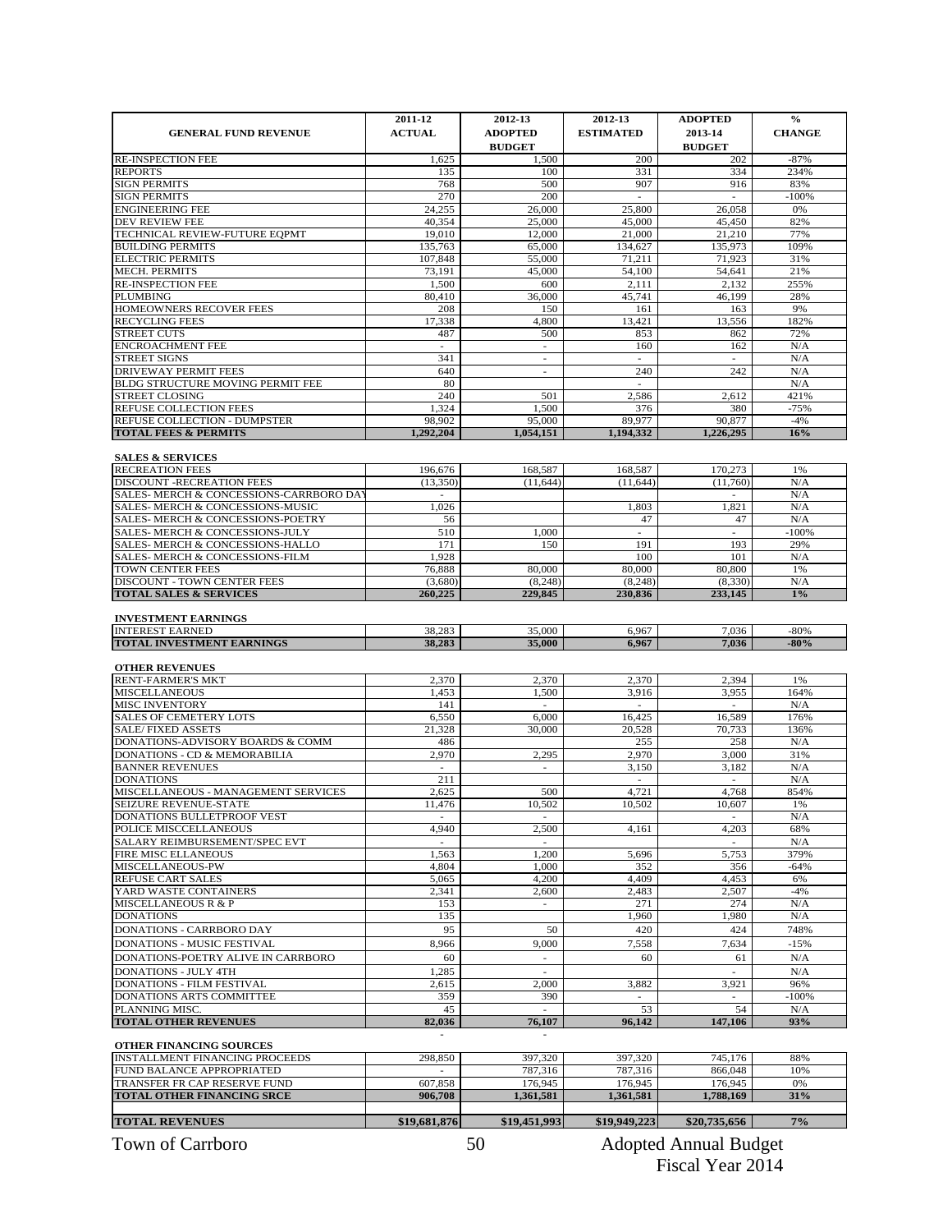|                                                                      | 2011-12                              | 2012-13                               | 2012-13                  | <b>ADOPTED</b>                     | $\frac{6}{6}$  |
|----------------------------------------------------------------------|--------------------------------------|---------------------------------------|--------------------------|------------------------------------|----------------|
| <b>GENERAL FUND REVENUE</b>                                          | <b>ACTUAL</b>                        | <b>ADOPTED</b>                        | <b>ESTIMATED</b>         | 2013-14                            | <b>CHANGE</b>  |
|                                                                      |                                      | <b>BUDGET</b>                         |                          | <b>BUDGET</b>                      |                |
| <b>RE-INSPECTION FEE</b>                                             | 1,625                                | 1,500<br>100                          | 200                      | 202                                | $-87%$         |
| <b>REPORTS</b><br><b>SIGN PERMITS</b>                                | 135<br>768                           | 500                                   | 331<br>907               | 334<br>916                         | 234%<br>83%    |
| <b>SIGN PERMITS</b>                                                  | 270                                  | 200                                   | ÷,                       | $\overline{\phantom{a}}$           | $-100%$        |
| <b>ENGINEERING FEE</b>                                               | 24,255                               | 26,000                                | 25,800                   | 26,058                             | 0%             |
| DEV REVIEW FEE                                                       | 40.354                               | 25,000                                | 45,000                   | 45,450                             | 82%            |
| TECHNICAL REVIEW-FUTURE EQPMT                                        | 19,010                               | 12,000                                | 21,000                   | 21,210                             | 77%            |
| <b>BUILDING PERMITS</b>                                              | 135,763                              | 65,000                                | 134,627                  | 135,973                            | 109%           |
| <b>ELECTRIC PERMITS</b><br><b>MECH. PERMITS</b>                      | 107,848<br>73,191                    | 55,000<br>45,000                      | 71,211<br>54,100         | 71,923<br>54,641                   | 31%<br>21%     |
| <b>RE-INSPECTION FEE</b>                                             | 1,500                                | 600                                   | 2,111                    | 2,132                              | 255%           |
| <b>PLUMBING</b>                                                      | 80,410                               | 36,000                                | 45.741                   | 46,199                             | 28%            |
| HOMEOWNERS RECOVER FEES                                              | 208                                  | 150                                   | 161                      | 163                                | 9%             |
| <b>RECYCLING FEES</b>                                                | 17,338                               | 4,800                                 | 13,421                   | 13,556                             | 182%           |
| <b>STREET CUTS</b>                                                   | 487                                  | 500                                   | 853                      | 862                                | 72%            |
| <b>ENCROACHMENT FEE</b><br><b>STREET SIGNS</b>                       | $\sim$<br>341                        | $\sim$<br>$\mathcal{L}_{\mathcal{A}}$ | 160<br>×.                | 162<br>$\mathcal{L}_{\mathcal{A}}$ | N/A<br>N/A     |
| <b>DRIVEWAY PERMIT FEES</b>                                          | 640                                  | ÷.                                    | 240                      | 242                                | N/A            |
| BLDG STRUCTURE MOVING PERMIT FEE                                     | 80                                   |                                       | $\overline{\phantom{a}}$ |                                    | N/A            |
| <b>STREET CLOSING</b>                                                | 240                                  | 501                                   | 2,586                    | 2,612                              | 421%           |
| REFUSE COLLECTION FEES                                               | 1,324                                | 1,500                                 | 376                      | 380                                | $-75%$         |
| REFUSE COLLECTION - DUMPSTER                                         | 98,902                               | 95,000                                | 89,977                   | 90,877                             | $-4%$          |
| <b>TOTAL FEES &amp; PERMITS</b>                                      | 1,292,204                            | 1,054,151                             | 1,194,332                | 1,226,295                          | 16%            |
| <b>SALES &amp; SERVICES</b>                                          |                                      |                                       |                          |                                    |                |
| <b>RECREATION FEES</b>                                               | 196,676                              | 168,587                               | 168,587                  | 170,273                            | 1%             |
| DISCOUNT - RECREATION FEES                                           | (13,350)                             | (11, 644)                             | (11.644)                 | (11,760)                           | N/A            |
| SALES- MERCH & CONCESSIONS-CARRBORO DA                               | $\overline{a}$                       |                                       |                          | $\overline{a}$                     | N/A            |
| SALES- MERCH & CONCESSIONS-MUSIC                                     | 1,026                                |                                       | 1,803                    | 1,821                              | N/A            |
| SALES- MERCH & CONCESSIONS-POETRY<br>SALES- MERCH & CONCESSIONS-JULY | 56<br>510                            | 1,000                                 | 47                       | 47<br>$\overline{a}$               | N/A<br>$-100%$ |
| <b>SALES- MERCH &amp; CONCESSIONS-HALLO</b>                          | 171                                  | 150                                   | 191                      | 193                                | 29%            |
| SALES- MERCH & CONCESSIONS-FILM                                      | 1,928                                |                                       | 100                      | 101                                | N/A            |
| TOWN CENTER FEES                                                     | 76,888                               | 80,000                                | 80,000                   | 80,800                             | 1%             |
| <b>DISCOUNT - TOWN CENTER FEES</b>                                   | (3,680)                              | (8, 248)                              | (8, 248)                 | (8,330)                            | N/A            |
| <b>TOTAL SALES &amp; SERVICES</b>                                    | 260,225                              | 229,845                               | 230,836                  | 233,145                            | 1%             |
| <b>INVESTMENT EARNINGS</b>                                           |                                      |                                       |                          |                                    |                |
| <b>INTEREST EARNED</b>                                               | 38.283                               | 35,000                                | 6.967                    | 7,036                              | $-80%$         |
| <b>TOTAL INVESTMENT EARNINGS</b>                                     | 38,283                               | 35,000                                | 6,967                    | 7,036                              | $-80%$         |
|                                                                      |                                      |                                       |                          |                                    |                |
| <b>OTHER REVENUES</b><br><b>RENT-FARMER'S MKT</b>                    | 2,370                                | 2,370                                 | 2,370                    | 2,394                              | 1%             |
| <b>MISCELLANEOUS</b>                                                 | 1,453                                | 1,500                                 | 3,916                    | 3,955                              | 164%           |
| <b>MISC INVENTORY</b>                                                | 141                                  | $\overline{\phantom{m}}$              | $\overline{\phantom{a}}$ | $\overline{a}$                     | N/A            |
| <b>SALES OF CEMETERY LOTS</b>                                        | 6,550                                | 6.000                                 | 16,425                   | 16,589                             | 176%           |
| <b>SALE/FIXED ASSETS</b>                                             | 21,328                               | 30,000                                | 20,528                   | 70,733                             | 136%           |
| DONATIONS-ADVISORY BOARDS & COMM                                     | 486                                  |                                       | 255                      | 258                                | N/A            |
| <b>DONATIONS - CD &amp; MEMORABILIA</b><br><b>BANNER REVENUES</b>    | 2,970<br>$\sim$                      | 2,295<br>$\sim$                       | 2.970<br>3,150           | 3,000<br>3,182                     | 31%<br>N/A     |
| <b>DONATIONS</b>                                                     | 211                                  |                                       | $\overline{a}$           | $\overline{a}$                     | N/A            |
| MISCELLANEOUS - MANAGEMENT SERVICES                                  | 2,625                                | 500                                   | 4.721                    | 4,768                              | 854%           |
| SEIZURE REVENUE-STATE                                                | 11,476                               | 10,502                                | 10,502                   | 10,607                             | 1%             |
| DONATIONS BULLETPROOF VEST                                           | ٠                                    | $\sim$                                |                          | $\overline{\phantom{a}}$           | N/A            |
| POLICE MISCCELLANEOUS                                                | 4,940                                | 2,500                                 | 4,161                    | 4,203                              | 68%            |
| SALARY REIMBURSEMENT/SPEC EVT<br>FIRE MISC ELLANEOUS                 | $\mathcal{L}_{\mathcal{A}}$<br>1,563 | $\sim$<br>1,200                       | 5,696                    | $\overline{\phantom{a}}$<br>5,753  | N/A<br>379%    |
| MISCELLANEOUS-PW                                                     | 4,804                                | 1,000                                 | 352                      | 356                                | $-64%$         |
| REFUSE CART SALES                                                    | 5,065                                | 4,200                                 | 4,409                    | 4,453                              | 6%             |
| YARD WASTE CONTAINERS                                                | 2,341                                | 2,600                                 | 2,483                    | 2,507                              | $-4%$          |
| <b>MISCELLANEOUS R &amp; P</b>                                       | 153                                  | $\overline{\phantom{a}}$              | 271                      | 274                                | N/A            |
| <b>DONATIONS</b>                                                     | 135                                  |                                       | 1,960                    | 1,980                              | N/A            |
| DONATIONS - CARRBORO DAY                                             | 95                                   | 50                                    | 420                      | 424                                | 748%           |
| DONATIONS - MUSIC FESTIVAL                                           | 8,966                                | 9,000                                 | 7,558                    | 7,634                              | $-15%$         |
| DONATIONS-POETRY ALIVE IN CARRBORO                                   | 60                                   | $\overline{\phantom{a}}$              | 60                       | 61                                 | N/A            |
| <b>DONATIONS - JULY 4TH</b><br><b>DONATIONS - FILM FESTIVAL</b>      | 1,285<br>2,615                       | $\mathcal{L}_{\mathcal{A}}$<br>2,000  | 3,882                    | ×.<br>3,921                        | N/A<br>96%     |
| DONATIONS ARTS COMMITTEE                                             | 359                                  | 390                                   |                          |                                    | $-100%$        |
| PLANNING MISC.                                                       | 45                                   | $\sim$                                | 53                       | 54                                 | N/A            |
| <b>TOTAL OTHER REVENUES</b>                                          | 82,036                               | 76,107                                | 96,142                   | 147,106                            | 93%            |
|                                                                      |                                      |                                       |                          |                                    |                |
| OTHER FINANCING SOURCES                                              |                                      |                                       |                          |                                    |                |
| INSTALLMENT FINANCING PROCEEDS<br>FUND BALANCE APPROPRIATED          | 298,850                              | 397,320<br>787,316                    | 397,320<br>787,316       | 745,176<br>866,048                 | 88%<br>10%     |
| TRANSFER FR CAP RESERVE FUND                                         | 607,858                              | 176,945                               | 176,945                  | 176,945                            | 0%             |
| <b>TOTAL OTHER FINANCING SRCE</b>                                    | 906,708                              | 1,361,581                             | 1,361,581                | 1,788,169                          | 31%            |
|                                                                      |                                      |                                       |                          |                                    |                |
| <b>TOTAL REVENUES</b>                                                | \$19,681,876                         | \$19,451,993                          | \$19,949,223             | \$20,735,656                       | $7\%$          |
|                                                                      |                                      |                                       |                          |                                    |                |

Town of Carrboro **Adopted Annual Budget** 50 Adopted Annual Budget Fiscal Year 2014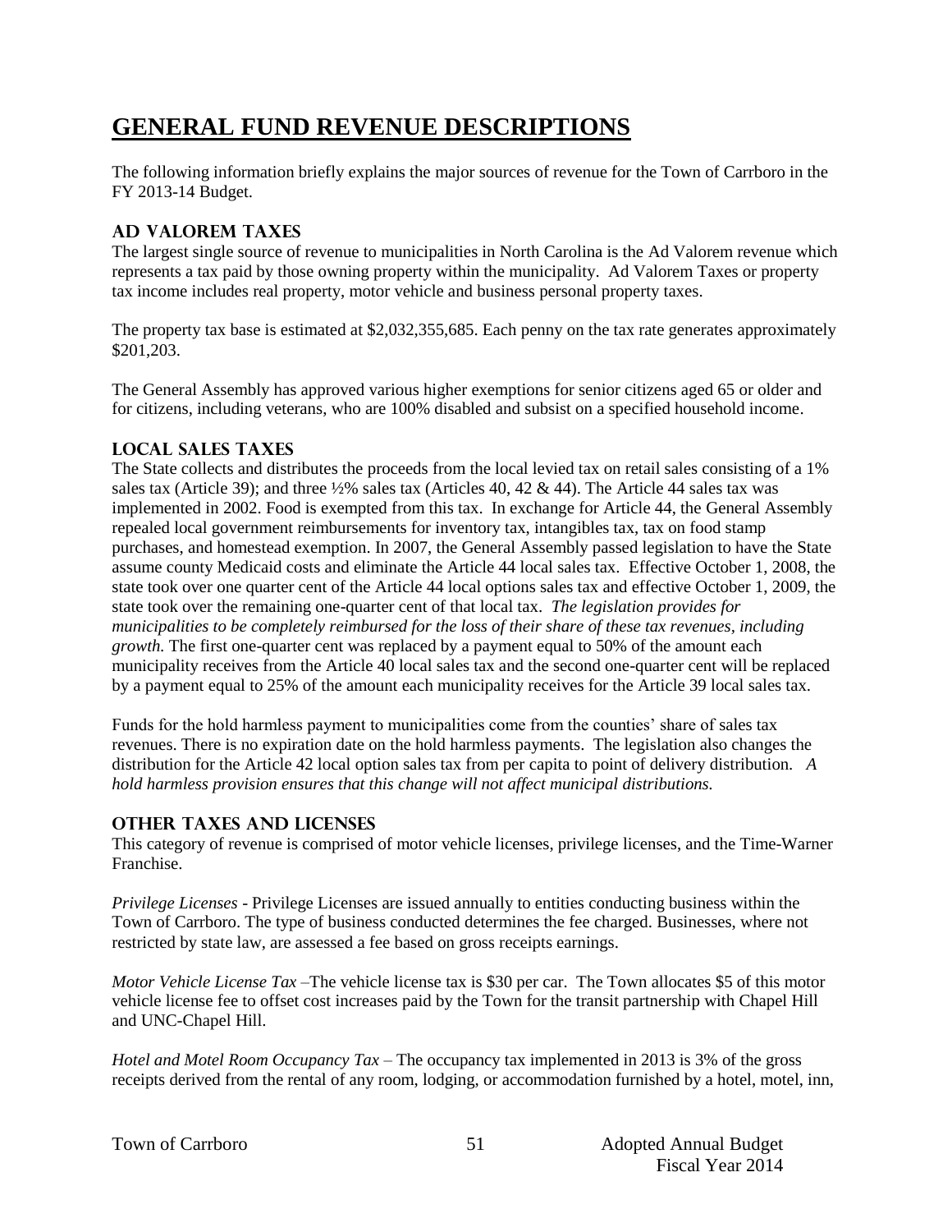# **GENERAL FUND REVENUE DESCRIPTIONS**

The following information briefly explains the major sources of revenue for the Town of Carrboro in the FY 2013-14 Budget.

## **AD VALOREM TAXES**

The largest single source of revenue to municipalities in North Carolina is the Ad Valorem revenue which represents a tax paid by those owning property within the municipality. Ad Valorem Taxes or property tax income includes real property, motor vehicle and business personal property taxes.

The property tax base is estimated at \$2,032,355,685. Each penny on the tax rate generates approximately \$201,203.

The General Assembly has approved various higher exemptions for senior citizens aged 65 or older and for citizens, including veterans, who are 100% disabled and subsist on a specified household income.

## **LOCAL SALES TAXES**

The State collects and distributes the proceeds from the local levied tax on retail sales consisting of a 1% sales tax (Article 39); and three ½% sales tax (Articles 40, 42 & 44). The Article 44 sales tax was implemented in 2002. Food is exempted from this tax. In exchange for Article 44, the General Assembly repealed local government reimbursements for inventory tax, intangibles tax, tax on food stamp purchases, and homestead exemption. In 2007, the General Assembly passed legislation to have the State assume county Medicaid costs and eliminate the Article 44 local sales tax. Effective October 1, 2008, the state took over one quarter cent of the Article 44 local options sales tax and effective October 1, 2009, the state took over the remaining one-quarter cent of that local tax. *The legislation provides for municipalities to be completely reimbursed for the loss of their share of these tax revenues, including growth.* The first one-quarter cent was replaced by a payment equal to 50% of the amount each municipality receives from the Article 40 local sales tax and the second one-quarter cent will be replaced by a payment equal to 25% of the amount each municipality receives for the Article 39 local sales tax.

Funds for the hold harmless payment to municipalities come from the counties' share of sales tax revenues. There is no expiration date on the hold harmless payments. The legislation also changes the distribution for the Article 42 local option sales tax from per capita to point of delivery distribution. *A hold harmless provision ensures that this change will not affect municipal distributions.*

## **OTHER TAXES AND LICENSES**

This category of revenue is comprised of motor vehicle licenses, privilege licenses, and the Time-Warner Franchise.

*Privilege Licenses* - Privilege Licenses are issued annually to entities conducting business within the Town of Carrboro. The type of business conducted determines the fee charged. Businesses, where not restricted by state law, are assessed a fee based on gross receipts earnings.

*Motor Vehicle License Tax* –The vehicle license tax is \$30 per car. The Town allocates \$5 of this motor vehicle license fee to offset cost increases paid by the Town for the transit partnership with Chapel Hill and UNC-Chapel Hill.

*Hotel and Motel Room Occupancy Tax* – The occupancy tax implemented in 2013 is 3% of the gross receipts derived from the rental of any room, lodging, or accommodation furnished by a hotel, motel, inn,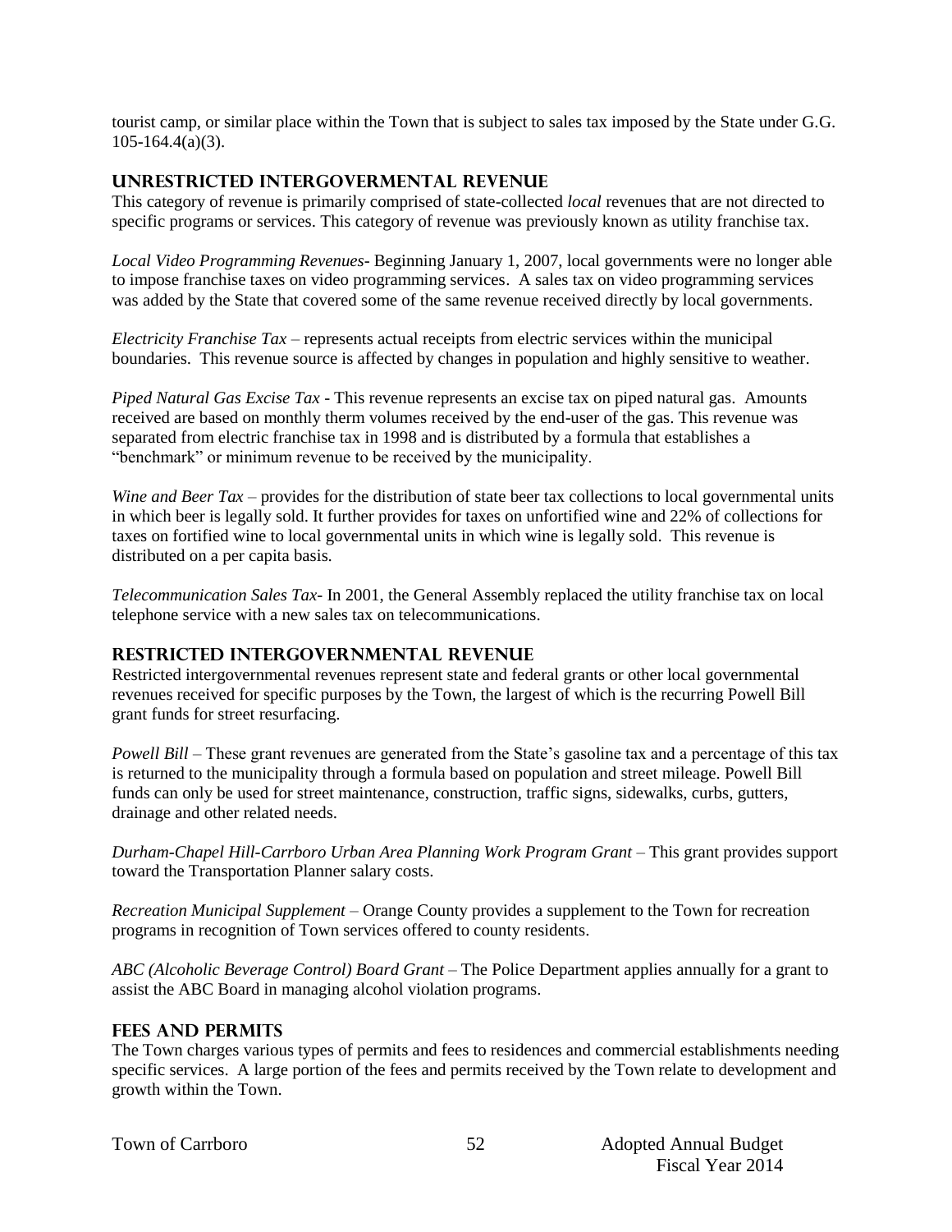tourist camp, or similar place within the Town that is subject to sales tax imposed by the State under G.G. 105-164.4(a)(3).

## **UNRESTRICTED INTERGOVERMENTAL REVENUE**

This category of revenue is primarily comprised of state-collected *local* revenues that are not directed to specific programs or services. This category of revenue was previously known as utility franchise tax.

*Local Video Programming Revenues*- Beginning January 1, 2007, local governments were no longer able to impose franchise taxes on video programming services. A sales tax on video programming services was added by the State that covered some of the same revenue received directly by local governments.

*Electricity Franchise Tax* – represents actual receipts from electric services within the municipal boundaries. This revenue source is affected by changes in population and highly sensitive to weather.

*Piped Natural Gas Excise Tax* - This revenue represents an excise tax on piped natural gas. Amounts received are based on monthly therm volumes received by the end-user of the gas. This revenue was separated from electric franchise tax in 1998 and is distributed by a formula that establishes a "benchmark" or minimum revenue to be received by the municipality.

*Wine and Beer Tax* – provides for the distribution of state beer tax collections to local governmental units in which beer is legally sold. It further provides for taxes on unfortified wine and 22% of collections for taxes on fortified wine to local governmental units in which wine is legally sold. This revenue is distributed on a per capita basis.

*Telecommunication Sales Tax*- In 2001, the General Assembly replaced the utility franchise tax on local telephone service with a new sales tax on telecommunications.

## **RESTRICTED INTERGOVERNMENTAL REVENUE**

Restricted intergovernmental revenues represent state and federal grants or other local governmental revenues received for specific purposes by the Town, the largest of which is the recurring Powell Bill grant funds for street resurfacing.

*Powell Bill* – These grant revenues are generated from the State's gasoline tax and a percentage of this tax is returned to the municipality through a formula based on population and street mileage. Powell Bill funds can only be used for street maintenance, construction, traffic signs, sidewalks, curbs, gutters, drainage and other related needs.

*Durham-Chapel Hill-Carrboro Urban Area Planning Work Program Grant* – This grant provides support toward the Transportation Planner salary costs.

*Recreation Municipal Supplement –* Orange County provides a supplement to the Town for recreation programs in recognition of Town services offered to county residents.

*ABC (Alcoholic Beverage Control) Board Grant* – The Police Department applies annually for a grant to assist the ABC Board in managing alcohol violation programs.

## **FEES AND PERMITS**

The Town charges various types of permits and fees to residences and commercial establishments needing specific services. A large portion of the fees and permits received by the Town relate to development and growth within the Town.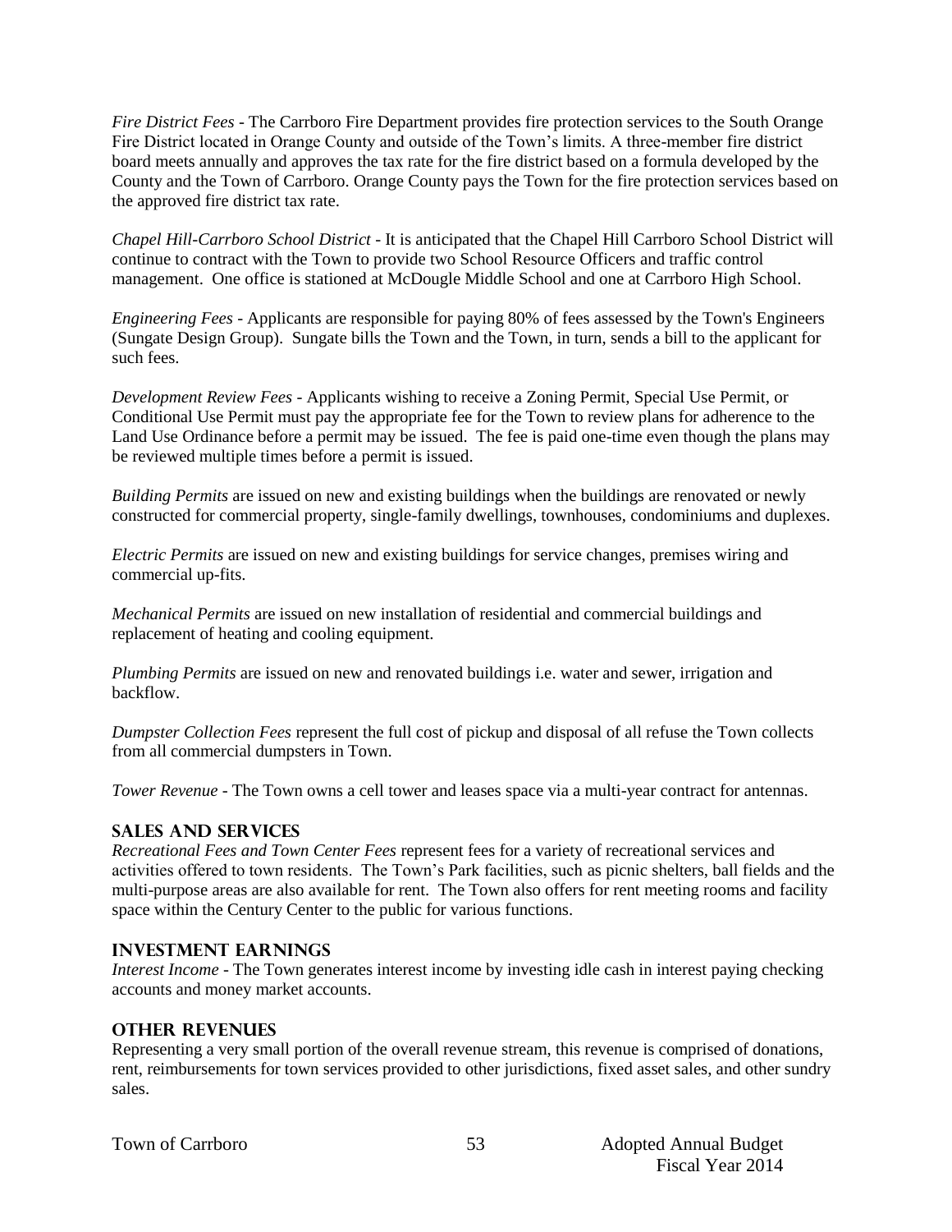*Fire District Fees* - The Carrboro Fire Department provides fire protection services to the South Orange Fire District located in Orange County and outside of the Town's limits. A three-member fire district board meets annually and approves the tax rate for the fire district based on a formula developed by the County and the Town of Carrboro. Orange County pays the Town for the fire protection services based on the approved fire district tax rate.

*Chapel Hill-Carrboro School District* - It is anticipated that the Chapel Hill Carrboro School District will continue to contract with the Town to provide two School Resource Officers and traffic control management. One office is stationed at McDougle Middle School and one at Carrboro High School.

*Engineering Fees* - Applicants are responsible for paying 80% of fees assessed by the Town's Engineers (Sungate Design Group). Sungate bills the Town and the Town, in turn, sends a bill to the applicant for such fees.

*Development Review Fees* - Applicants wishing to receive a Zoning Permit, Special Use Permit, or Conditional Use Permit must pay the appropriate fee for the Town to review plans for adherence to the Land Use Ordinance before a permit may be issued. The fee is paid one-time even though the plans may be reviewed multiple times before a permit is issued.

*Building Permits* are issued on new and existing buildings when the buildings are renovated or newly constructed for commercial property, single-family dwellings, townhouses, condominiums and duplexes.

*Electric Permits* are issued on new and existing buildings for service changes, premises wiring and commercial up-fits.

*Mechanical Permits* are issued on new installation of residential and commercial buildings and replacement of heating and cooling equipment.

*Plumbing Permits* are issued on new and renovated buildings i.e. water and sewer, irrigation and backflow.

*Dumpster Collection Fees* represent the full cost of pickup and disposal of all refuse the Town collects from all commercial dumpsters in Town.

*Tower Revenue* - The Town owns a cell tower and leases space via a multi-year contract for antennas.

#### **SALES AND SERVICES**

*Recreational Fees and Town Center Fees* represent fees for a variety of recreational services and activities offered to town residents. The Town's Park facilities, such as picnic shelters, ball fields and the multi-purpose areas are also available for rent. The Town also offers for rent meeting rooms and facility space within the Century Center to the public for various functions.

#### **INVESTMENT EARNINGS**

*Interest Income* - The Town generates interest income by investing idle cash in interest paying checking accounts and money market accounts.

#### **OTHER REVENUES**

Representing a very small portion of the overall revenue stream, this revenue is comprised of donations, rent, reimbursements for town services provided to other jurisdictions, fixed asset sales, and other sundry sales.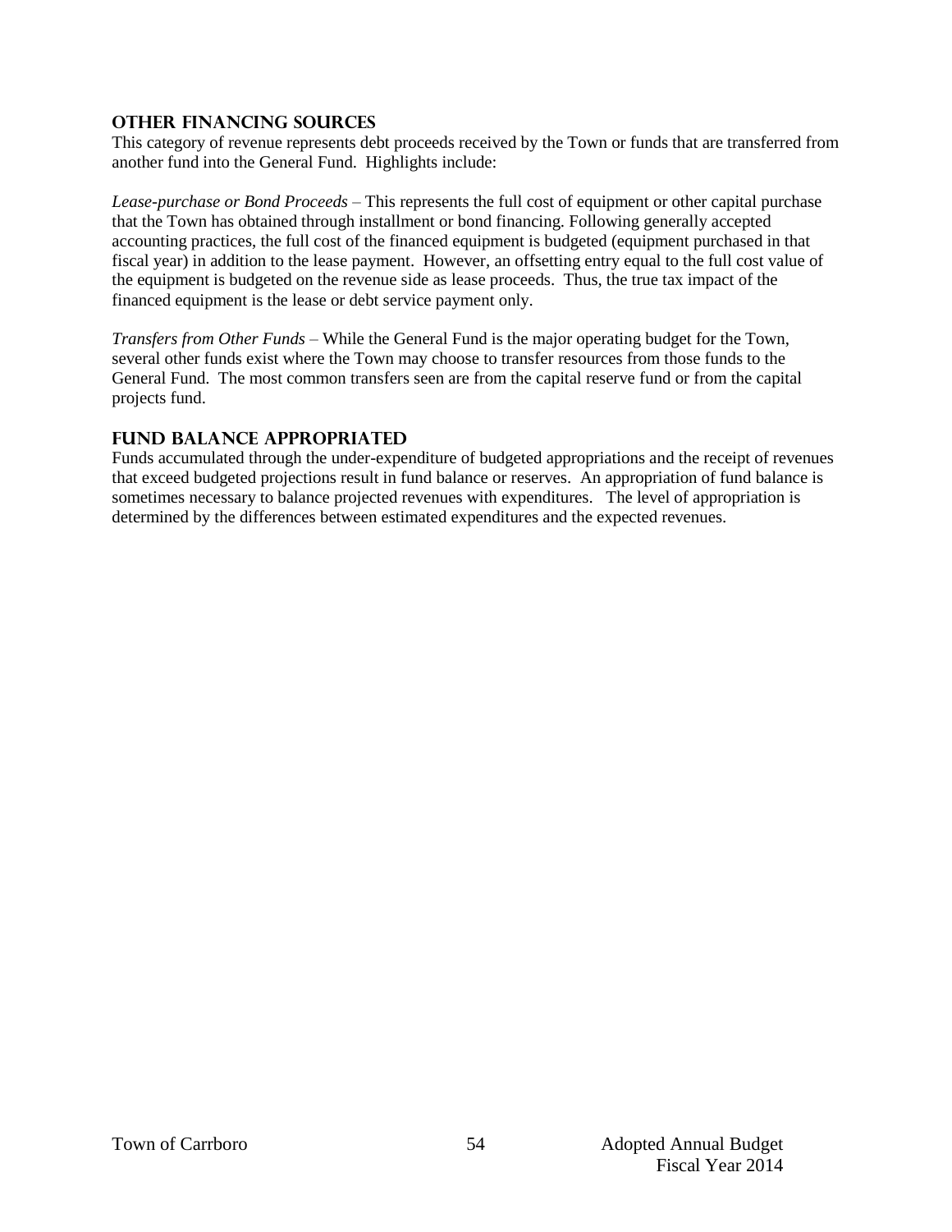## **OTHER FINANCING SOURCES**

This category of revenue represents debt proceeds received by the Town or funds that are transferred from another fund into the General Fund. Highlights include:

*Lease-purchase or Bond Proceeds –* This represents the full cost of equipment or other capital purchase that the Town has obtained through installment or bond financing. Following generally accepted accounting practices, the full cost of the financed equipment is budgeted (equipment purchased in that fiscal year) in addition to the lease payment. However, an offsetting entry equal to the full cost value of the equipment is budgeted on the revenue side as lease proceeds. Thus, the true tax impact of the financed equipment is the lease or debt service payment only.

*Transfers from Other Funds –* While the General Fund is the major operating budget for the Town, several other funds exist where the Town may choose to transfer resources from those funds to the General Fund. The most common transfers seen are from the capital reserve fund or from the capital projects fund.

## **Fund Balance Appropriated**

Funds accumulated through the under-expenditure of budgeted appropriations and the receipt of revenues that exceed budgeted projections result in fund balance or reserves. An appropriation of fund balance is sometimes necessary to balance projected revenues with expenditures. The level of appropriation is determined by the differences between estimated expenditures and the expected revenues.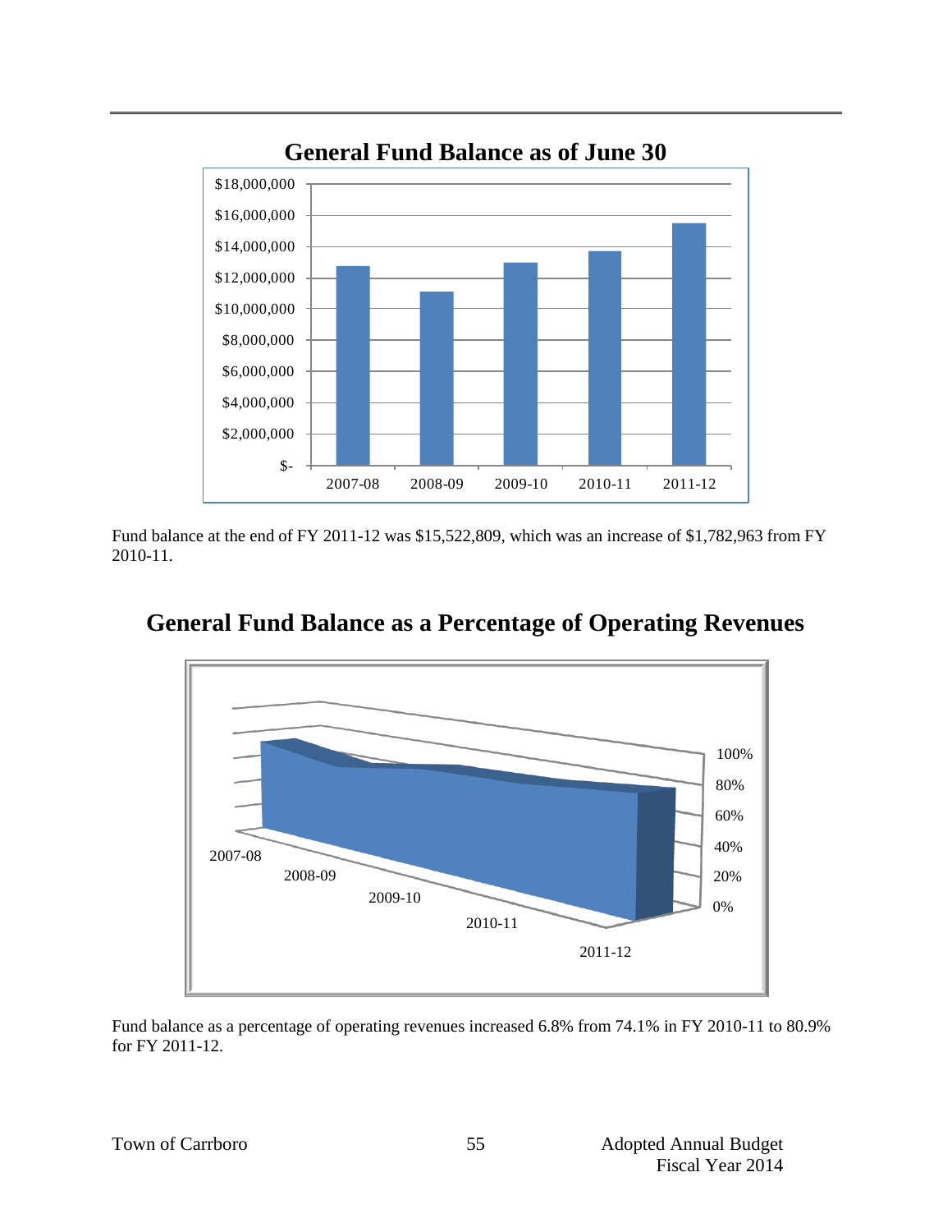

**General Fund Balance as of June 30**

Fund balance at the end of FY 2011-12 was \$15,522,809, which was an increase of \$1,782,963 from FY 2010-11.



# **General Fund Balance as a Percentage of Operating Revenues**

Fund balance as a percentage of operating revenues increased 6.8% from 74.1% in FY 2010-11 to 80.9% for FY 2011-12.